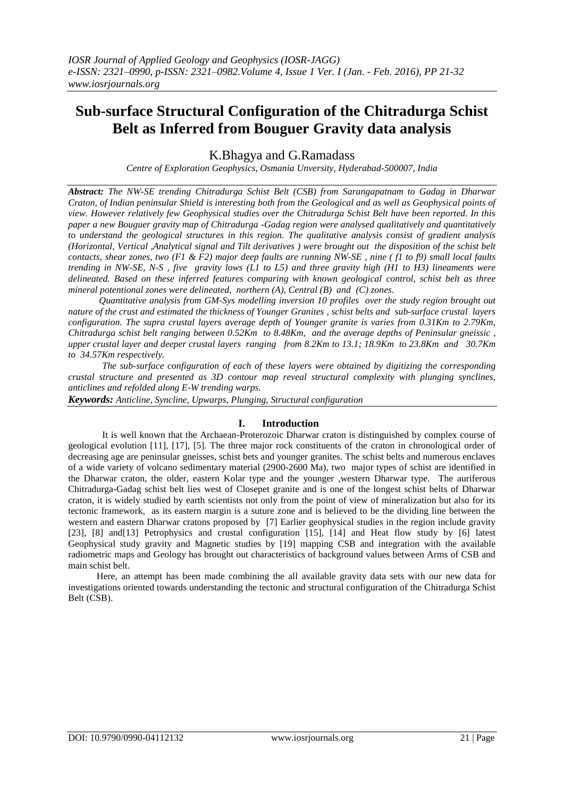# **Sub-surface Structural Configuration of the Chitradurga Schist Belt as Inferred from Bouguer Gravity data analysis**

K.Bhagya and G.Ramadass

*Centre of Exploration Geophysics, Osmania Unversity, Hyderabad-500007, India*

*Abstract: The NW-SE trending Chitradurga Schist Belt (CSB) from Sarangapatnam to Gadag in Dharwar Craton, of Indian peninsular Shield is interesting both from the Geological and as well as Geophysical points of view. However relatively few Geophysical studies over the Chitradurga Schist Belt have been reported. In this paper a new Bouguer gravity map of Chitradurga -Gadag region were analysed qualitatively and quantitatively to understand the geological structures in this region. The qualitative analysis consist of gradient analysis (Horizontal, Vertical ,Analytical signal and Tilt derivatives ) were brought out the disposition of the schist belt contacts, shear zones, two (F1 & F2) major deep faults are running NW-SE , nine ( f1 to f9) small local faults trending in NW-SE, N-S , five gravity lows (L1 to L5) and three gravity high (H1 to H3) lineaments were delineated. Based on these inferred features comparing with known geological control, schist belt as three mineral potentional zones were delineated, northern (A), Central (B) and (C) zones.* 

 *Quantitative analysis from GM-Sys modelling inversion 10 profiles over the study region brought out nature of the crust and estimated the thickness of Younger Granites , schist belts and sub-surface crustal layers configuration. The supra crustal layers average depth of Younger granite is varies from 0.31Km to 2.79Km, Chitradurga schist belt ranging between 0.52Km to 8.48Km, and the average depths of Peninsular gneissic , upper crustal layer and deeper crustal layers ranging from 8.2Km to 13.1; 18.9Km to 23.8Km and 30.7Km to 34.57Km respectively.*

*The sub-surface configuration of each of these layers were obtained by digitizing the corresponding crustal structure and presented as 3D contour map reveal structural complexity with plunging synclines, anticlines and refolded along E-W trending warps.* 

*Keywords: Anticline, Syncline, Upwarps, Plunging, Structural configuration*

## **I. Introduction**

 It is well known that the Archaean-Proterozoic Dharwar craton is distinguished by complex course of geological evolution [11], [17], [5]. The three major rock constituents of the craton in chronological order of decreasing age are peninsular gneisses, schist bets and younger granites. The schist belts and numerous enclaves of a wide variety of volcano sedimentary material (2900-2600 Ma), two major types of schist are identified in the Dharwar craton, the older, eastern Kolar type and the younger ,western Dharwar type. The auriferous Chitradurga-Gadag schist belt lies west of Closepet granite and is one of the longest schist belts of Dharwar craton, it is widely studied by earth scientists not only from the point of view of mineralization but also for its tectonic framework, as its eastern margin is a suture zone and is believed to be the dividing line between the western and eastern Dharwar cratons proposed by [7] Earlier geophysical studies in the region include gravity [23], [8] and[13] Petrophysics and crustal configuration [15], [14] and Heat flow study by [6] latest Geophysical study gravity and Magnetic studies by [19] mapping CSB and integration with the available radiometric maps and Geology has brought out characteristics of background values between Arms of CSB and main schist belt.

 Here, an attempt has been made combining the all available gravity data sets with our new data for investigations oriented towards understanding the tectonic and structural configuration of the Chitradurga Schist Belt (CSB).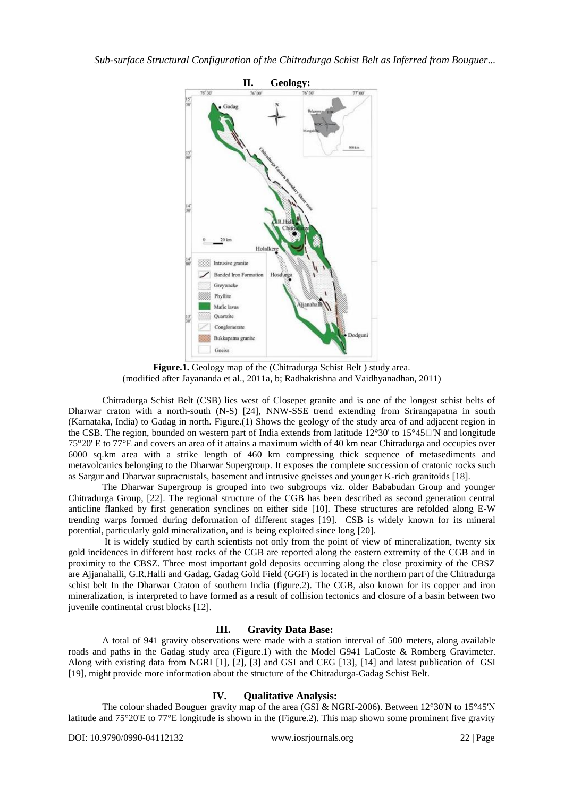

**Figure.1.** Geology map of the (Chitradurga Schist Belt ) study area. (modified after Jayananda et al., 2011a, b; Radhakrishna and Vaidhyanadhan, 2011)

Chitradurga Schist Belt (CSB) lies west of Closepet granite and is one of the longest schist belts of Dharwar craton with a north-south (N-S) [24], NNW-SSE trend extending from Srirangapatna in south (Karnataka, India) to Gadag in north. Figure.(1) Shows the geology of the study area of and adjacent region in the CSB. The region, bounded on western part of India extends from latitude  $12^{\circ}30'$  to  $15^{\circ}45$   $\Box$  N and longitude 75°20' E to 77°E and covers an area of it attains a maximum width of 40 km near Chitradurga and occupies over 6000 sq.km area with a strike length of 460 km compressing thick sequence of metasediments and metavolcanics belonging to the Dharwar Supergroup. It exposes the complete succession of cratonic rocks such as Sargur and Dharwar supracrustals, basement and intrusive gneisses and younger K-rich granitoids [18].

The Dharwar Supergroup is grouped into two subgroups viz. older Bababudan Group and younger Chitradurga Group, [22]. The regional structure of the CGB has been described as second generation central anticline flanked by first generation synclines on either side [10]. These structures are refolded along E-W trending warps formed during deformation of different stages [19]. CSB is widely known for its mineral potential, particularly gold mineralization, and is being exploited since long [20].

It is widely studied by earth scientists not only from the point of view of mineralization, twenty six gold incidences in different host rocks of the CGB are reported along the eastern extremity of the CGB and in proximity to the CBSZ. Three most important gold deposits occurring along the close proximity of the CBSZ are Ajjanahalli, G.R.Halli and Gadag. Gadag Gold Field (GGF) is located in the northern part of the Chitradurga schist belt In the Dharwar Craton of southern India (figure.2). The CGB, also known for its copper and iron mineralization, is interpreted to have formed as a result of collision tectonics and closure of a basin between two juvenile continental crust blocks [12].

# **III. Gravity Data Base:**

A total of 941 gravity observations were made with a station interval of 500 meters, along available roads and paths in the Gadag study area (Figure.1) with the Model G941 LaCoste & Romberg Gravimeter. Along with existing data from NGRI [1], [2], [3] and GSI and CEG [13], [14] and latest publication of GSI [19], might provide more information about the structure of the Chitradurga-Gadag Schist Belt.

# **IV. Qualitative Analysis:**

The colour shaded Bouguer gravity map of the area (GSI & NGRI-2006). Between 12°30'N to 15°45'N latitude and 75°20'E to 77°E longitude is shown in the (Figure.2). This map shown some prominent five gravity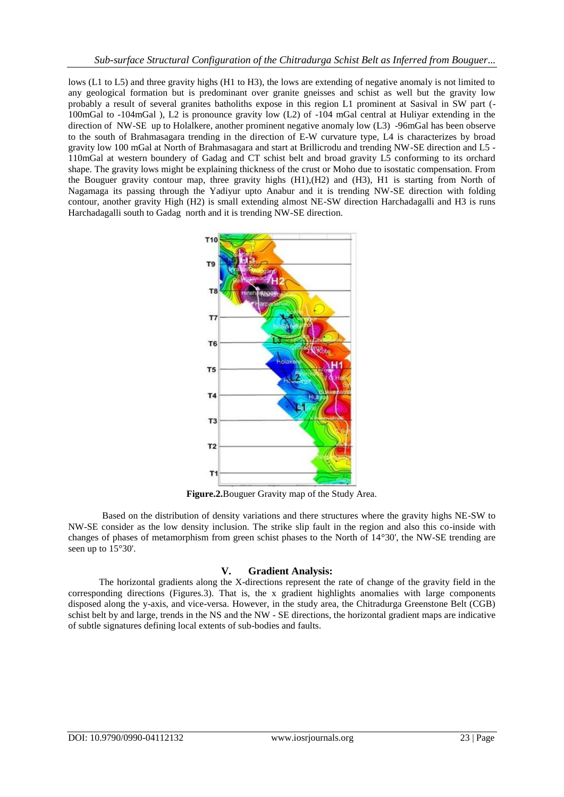lows (L1 to L5) and three gravity highs (H1 to H3), the lows are extending of negative anomaly is not limited to any geological formation but is predominant over granite gneisses and schist as well but the gravity low probably a result of several granites batholiths expose in this region L1 prominent at Sasival in SW part (- 100mGal to -104mGal ), L2 is pronounce gravity low (L2) of -104 mGal central at Huliyar extending in the direction of NW-SE up to Holalkere, another prominent negative anomaly low (L3) -96mGal has been observe to the south of Brahmasagara trending in the direction of E-W curvature type, L4 is characterizes by broad gravity low 100 mGal at North of Brahmasagara and start at Brillicrodu and trending NW-SE direction and L5 - 110mGal at western boundery of Gadag and CT schist belt and broad gravity L5 conforming to its orchard shape. The gravity lows might be explaining thickness of the crust or Moho due to isostatic compensation. From the Bouguer gravity contour map, three gravity highs (H1),(H2) and (H3), H1 is starting from North of Nagamaga its passing through the Yadiyur upto Anabur and it is trending NW-SE direction with folding contour, another gravity High (H2) is small extending almost NE-SW direction Harchadagalli and H3 is runs Harchadagalli south to Gadag north and it is trending NW-SE direction.



**Figure.2.**Bouguer Gravity map of the Study Area.

Based on the distribution of density variations and there structures where the gravity highs NE-SW to NW-SE consider as the low density inclusion. The strike slip fault in the region and also this co-inside with changes of phases of metamorphism from green schist phases to the North of 14°30', the NW-SE trending are seen up to  $15^{\circ}30'$ .

## **V. Gradient Analysis:**

 The horizontal gradients along the X-directions represent the rate of change of the gravity field in the corresponding directions (Figures.3). That is, the x gradient highlights anomalies with large components disposed along the y-axis, and vice-versa. However, in the study area, the Chitradurga Greenstone Belt (CGB) schist belt by and large, trends in the NS and the NW - SE directions, the horizontal gradient maps are indicative of subtle signatures defining local extents of sub-bodies and faults.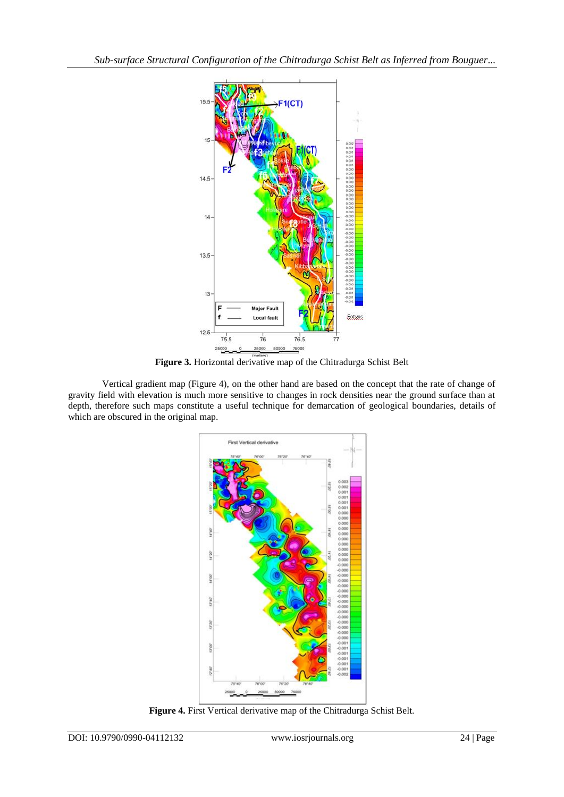

**Figure 3.** Horizontal derivative map of the Chitradurga Schist Belt

Vertical gradient map (Figure 4), on the other hand are based on the concept that the rate of change of gravity field with elevation is much more sensitive to changes in rock densities near the ground surface than at depth, therefore such maps constitute a useful technique for demarcation of geological boundaries, details of which are obscured in the original map.



**Figure 4.** First Vertical derivative map of the Chitradurga Schist Belt.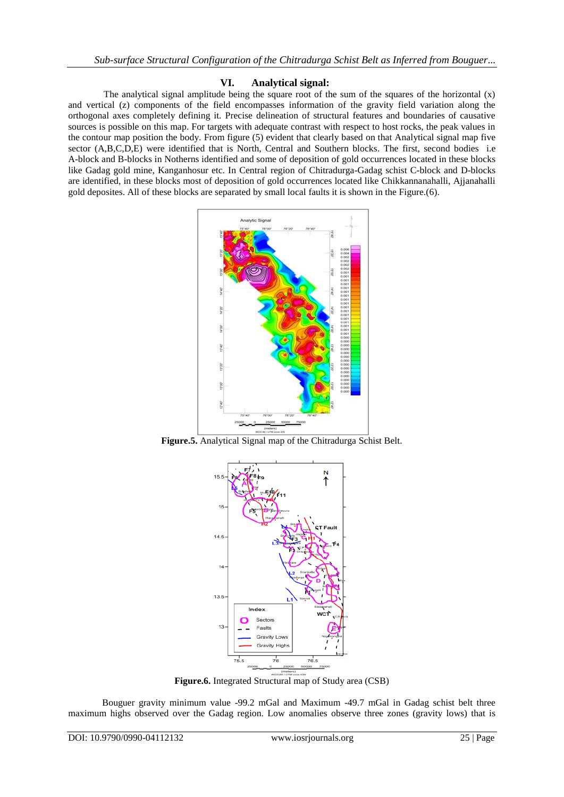## **VI. Analytical signal:**

The analytical signal amplitude being the square root of the sum of the squares of the horizontal  $(x)$ and vertical (z) components of the field encompasses information of the gravity field variation along the orthogonal axes completely defining it. Precise delineation of structural features and boundaries of causative sources is possible on this map. For targets with adequate contrast with respect to host rocks, the peak values in the contour map position the body. From figure (5) evident that clearly based on that Analytical signal map five sector (A,B,C,D,E) were identified that is North, Central and Southern blocks. The first, second bodies i.e A-block and B-blocks in Notherns identified and some of deposition of gold occurrences located in these blocks like Gadag gold mine, Kanganhosur etc. In Central region of Chitradurga-Gadag schist C-block and D-blocks are identified, in these blocks most of deposition of gold occurrences located like Chikkannanahalli, Ajjanahalli gold deposites. All of these blocks are separated by small local faults it is shown in the Figure.(6).



**Figure.5.** Analytical Signal map of the Chitradurga Schist Belt.



**Figure.6.** Integrated Structural map of Study area (CSB)

Bouguer gravity minimum value -99.2 mGal and Maximum -49.7 mGal in Gadag schist belt three maximum highs observed over the Gadag region. Low anomalies observe three zones (gravity lows) that is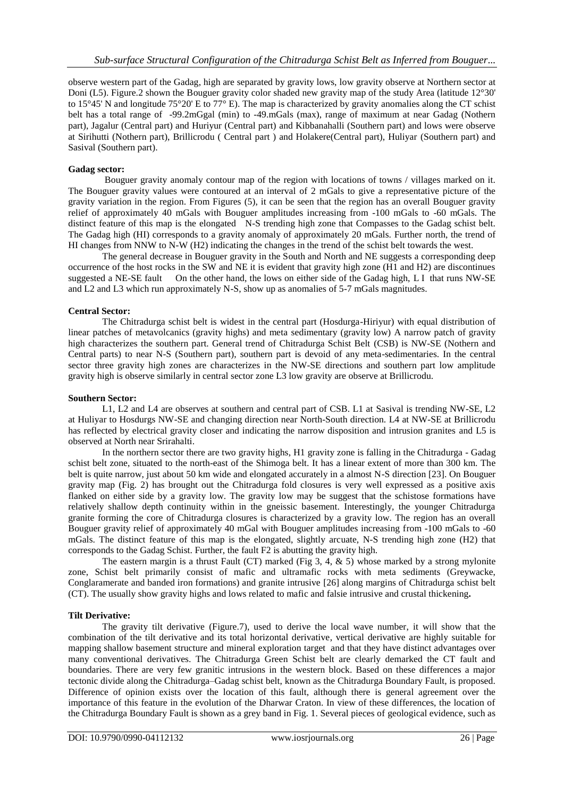observe western part of the Gadag, high are separated by gravity lows, low gravity observe at Northern sector at Doni (L5). Figure.2 shown the Bouguer gravity color shaded new gravity map of the study Area (latitude 12°30' to 15°45' N and longitude 75°20' E to 77° E). The map is characterized by gravity anomalies along the CT schist belt has a total range of -99.2mGgal (min) to -49.mGals (max), range of maximum at near Gadag (Nothern part), Jagalur (Central part) and Huriyur (Central part) and Kibbanahalli (Southern part) and lows were observe at Sirihutti (Nothern part), Brillicrodu ( Central part ) and Holakere(Central part), Huliyar (Southern part) and Sasival (Southern part).

## **Gadag sector:**

Bouguer gravity anomaly contour map of the region with locations of towns / villages marked on it. The Bouguer gravity values were contoured at an interval of 2 mGals to give a representative picture of the gravity variation in the region. From Figures (5), it can be seen that the region has an overall Bouguer gravity relief of approximately 40 mGals with Bouguer amplitudes increasing from -100 mGals to -60 mGals. The distinct feature of this map is the elongated N-S trending high zone that Compasses to the Gadag schist belt. The Gadag high (HI) corresponds to a gravity anomaly of approximately 20 mGals. Further north, the trend of HI changes from NNW to N-W (H2) indicating the changes in the trend of the schist belt towards the west.

The general decrease in Bouguer gravity in the South and North and NE suggests a corresponding deep occurrence of the host rocks in the SW and NE it is evident that gravity high zone (H1 and H2) are discontinues suggested a NE-SE fault On the other hand, the lows on either side of the Gadag high, L I that runs NW-SE and L2 and L3 which run approximately N-S, show up as anomalies of 5-7 mGals magnitudes.

## **Central Sector:**

The Chitradurga schist belt is widest in the central part (Hosdurga-Hiriyur) with equal distribution of linear patches of metavolcanics (gravity highs) and meta sedimentary (gravity low) A narrow patch of gravity high characterizes the southern part. General trend of Chitradurga Schist Belt (CSB) is NW-SE (Nothern and Central parts) to near N-S (Southern part), southern part is devoid of any meta-sedimentaries. In the central sector three gravity high zones are characterizes in the NW-SE directions and southern part low amplitude gravity high is observe similarly in central sector zone L3 low gravity are observe at Brillicrodu.

#### **Southern Sector:**

L1, L2 and L4 are observes at southern and central part of CSB. L1 at Sasival is trending NW-SE, L2 at Huliyar to Hosdurgs NW-SE and changing direction near North-South direction. L4 at NW-SE at Brillicrodu has reflected by electrical gravity closer and indicating the narrow disposition and intrusion granites and L5 is observed at North near Srirahalti.

In the northern sector there are two gravity highs, H1 gravity zone is falling in the Chitradurga - Gadag schist belt zone, situated to the north-east of the Shimoga belt. It has a linear extent of more than 300 km. The belt is quite narrow, just about 50 km wide and elongated accurately in a almost N-S direction [23]. On Bouguer gravity map (Fig. 2) has brought out the Chitradurga fold closures is very well expressed as a positive axis flanked on either side by a gravity low. The gravity low may be suggest that the schistose formations have relatively shallow depth continuity within in the gneissic basement. Interestingly, the younger Chitradurga granite forming the core of Chitradurga closures is characterized by a gravity low. The region has an overall Bouguer gravity relief of approximately 40 mGal with Bouguer amplitudes increasing from -100 mGals to -60 mGals. The distinct feature of this map is the elongated, slightly arcuate, N-S trending high zone (H2) that corresponds to the Gadag Schist. Further, the fault F2 is abutting the gravity high.

The eastern margin is a thrust Fault (CT) marked (Fig  $3, 4, \& 5$ ) whose marked by a strong mylonite zone, Schist belt primarily consist of mafic and ultramafic rocks with meta sediments (Greywacke, Conglaramerate and banded iron formations) and granite intrusive [26] along margins of Chitradurga schist belt (CT). The usually show gravity highs and lows related to mafic and falsie intrusive and crustal thickening**.**

## **Tilt Derivative:**

The gravity tilt derivative (Figure.7), used to derive the local wave number, it will show that the combination of the tilt derivative and its total horizontal derivative, vertical derivative are highly suitable for mapping shallow basement structure and mineral exploration target and that they have distinct advantages over many conventional derivatives. The Chitradurga Green Schist belt are clearly demarked the CT fault and boundaries. There are very few granitic intrusions in the western block. Based on these differences a major tectonic divide along the Chitradurga–Gadag schist belt, known as the Chitradurga Boundary Fault, is proposed. Difference of opinion exists over the location of this fault, although there is general agreement over the importance of this feature in the evolution of the Dharwar Craton. In view of these differences, the location of the Chitradurga Boundary Fault is shown as a grey band in Fig. 1. Several pieces of geological evidence, such as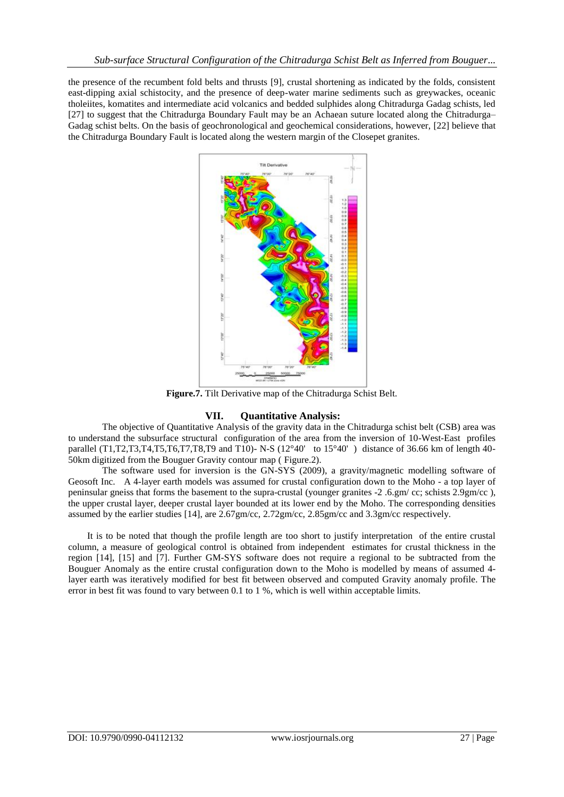the presence of the recumbent fold belts and thrusts [9], crustal shortening as indicated by the folds, consistent east-dipping axial schistocity, and the presence of deep-water marine sediments such as greywackes, oceanic tholeiites, komatites and intermediate acid volcanics and bedded sulphides along Chitradurga Gadag schists, led [27] to suggest that the Chitradurga Boundary Fault may be an Achaean suture located along the Chitradurga– Gadag schist belts. On the basis of geochronological and geochemical considerations, however, [22] believe that the Chitradurga Boundary Fault is located along the western margin of the Closepet granites.



**Figure.7.** Tilt Derivative map of the Chitradurga Schist Belt.

# **VII. Quantitative Analysis:**

 The objective of Quantitative Analysis of the gravity data in the Chitradurga schist belt (CSB) area was to understand the subsurface structural configuration of the area from the inversion of 10-West-East profiles parallel (T1,T2,T3,T4,T5,T6,T7,T8,T9 and T10)- N-S ( $12^{\circ}40'$  to  $15^{\circ}40'$ ) distance of 36.66 km of length 40-50km digitized from the Bouguer Gravity contour map ( Figure.2).

 The software used for inversion is the GN-SYS (2009), a gravity/magnetic modelling software of Geosoft Inc. A 4-layer earth models was assumed for crustal configuration down to the Moho - a top layer of peninsular gneiss that forms the basement to the supra-crustal (younger granites -2 .6.gm/ cc; schists 2.9gm/cc ), the upper crustal layer, deeper crustal layer bounded at its lower end by the Moho. The corresponding densities assumed by the earlier studies [14], are 2.67gm/cc, 2.72gm/cc, 2.85gm/cc and 3.3gm/cc respectively.

 It is to be noted that though the profile length are too short to justify interpretation of the entire crustal column, a measure of geological control is obtained from independent estimates for crustal thickness in the region [14], [15] and [7]. Further GM-SYS software does not require a regional to be subtracted from the Bouguer Anomaly as the entire crustal configuration down to the Moho is modelled by means of assumed 4 layer earth was iteratively modified for best fit between observed and computed Gravity anomaly profile. The error in best fit was found to vary between 0.1 to 1 %, which is well within acceptable limits.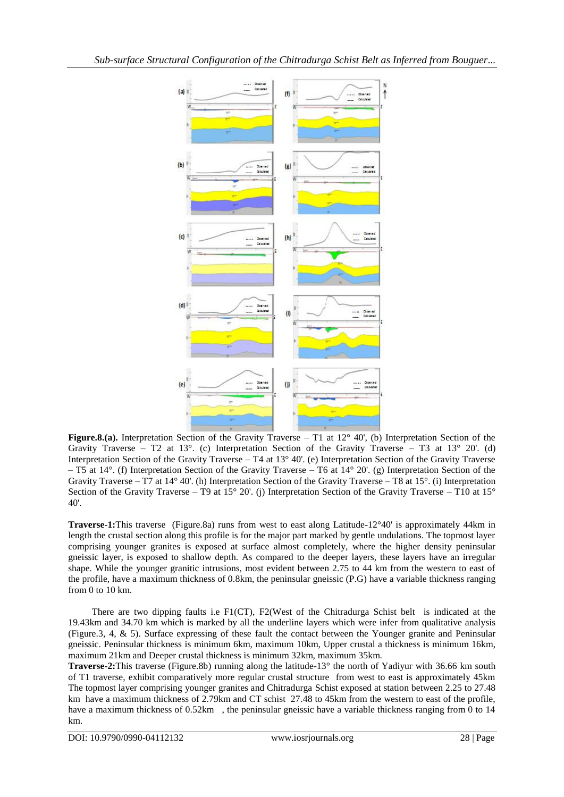

**Figure.8.(a).** Interpretation Section of the Gravity Traverse – T1 at 12° 40', (b) Interpretation Section of the Gravity Traverse – T2 at 13 $^{\circ}$ . (c) Interpretation Section of the Gravity Traverse – T3 at 13 $^{\circ}$  20'. (d) Interpretation Section of the Gravity Traverse – T4 at 13° 40'. (e) Interpretation Section of the Gravity Traverse – T5 at 14°. (f) Interpretation Section of the Gravity Traverse – T6 at 14° 20'. (g) Interpretation Section of the Gravity Traverse – T7 at  $14^{\circ}$  40'. (h) Interpretation Section of the Gravity Traverse – T8 at  $15^{\circ}$ . (i) Interpretation Section of the Gravity Traverse – T9 at  $15^{\circ}$  20'. (j) Interpretation Section of the Gravity Traverse – T10 at  $15^{\circ}$ 40'.

**Traverse-1:**This traverse (Figure.8a) runs from west to east along Latitude-12°40' is approximately 44km in length the crustal section along this profile is for the major part marked by gentle undulations. The topmost layer comprising younger granites is exposed at surface almost completely, where the higher density peninsular gneissic layer, is exposed to shallow depth. As compared to the deeper layers, these layers have an irregular shape. While the younger granitic intrusions, most evident between 2.75 to 44 km from the western to east of the profile, have a maximum thickness of 0.8km, the peninsular gneissic (P.G) have a variable thickness ranging from 0 to 10 km.

 There are two dipping faults i.e F1(CT), F2(West of the Chitradurga Schist belt is indicated at the 19.43km and 34.70 km which is marked by all the underline layers which were infer from qualitative analysis (Figure.3, 4, & 5). Surface expressing of these fault the contact between the Younger granite and Peninsular gneissic. Peninsular thickness is minimum 6km, maximum 10km, Upper crustal a thickness is minimum 16km, maximum 21km and Deeper crustal thickness is minimum 32km, maximum 35km.

**Traverse-2:**This traverse (Figure.8b) running along the latitude-13° the north of Yadiyur with 36.66 km south of T1 traverse, exhibit comparatively more regular crustal structure from west to east is approximately 45km The topmost layer comprising younger granites and Chitradurga Schist exposed at station between 2.25 to 27.48 km have a maximum thickness of 2.79km and CT schist 27.48 to 45km from the western to east of the profile, have a maximum thickness of 0.52km, the peninsular gneissic have a variable thickness ranging from 0 to 14 km.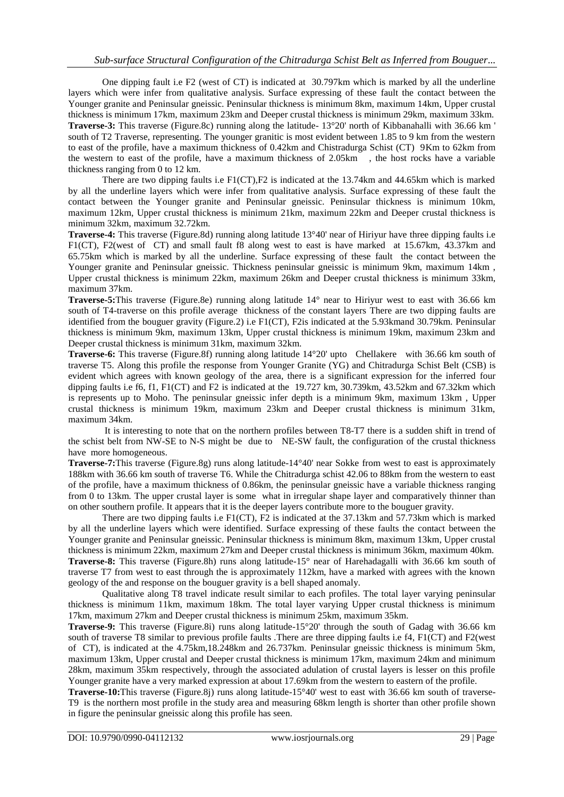One dipping fault i.e F2 (west of CT) is indicated at 30.797km which is marked by all the underline layers which were infer from qualitative analysis. Surface expressing of these fault the contact between the Younger granite and Peninsular gneissic. Peninsular thickness is minimum 8km, maximum 14km, Upper crustal thickness is minimum 17km, maximum 23km and Deeper crustal thickness is minimum 29km, maximum 33km. **Traverse-3:** This traverse (Figure.8c) running along the latitude- 13°20' north of Kibbanahalli with 36.66 km ' south of T2 Traverse, representing. The younger granitic is most evident between 1.85 to 9 km from the western to east of the profile, have a maximum thickness of 0.42km and Chistradurga Schist (CT) 9Km to 62km from the western to east of the profile, have a maximum thickness of 2.05km , the host rocks have a variable thickness ranging from 0 to 12 km.

There are two dipping faults i.e F1(CT),F2 is indicated at the 13.74km and 44.65km which is marked by all the underline layers which were infer from qualitative analysis. Surface expressing of these fault the contact between the Younger granite and Peninsular gneissic. Peninsular thickness is minimum 10km, maximum 12km, Upper crustal thickness is minimum 21km, maximum 22km and Deeper crustal thickness is minimum 32km, maximum 32.72km.

**Traverse-4:** This traverse (Figure.8d) running along latitude 13°40' near of Hiriyur have three dipping faults i.e F1(CT), F2(west of CT) and small fault f8 along west to east is have marked at 15.67km, 43.37km and 65.75km which is marked by all the underline. Surface expressing of these fault the contact between the Younger granite and Peninsular gneissic. Thickness peninsular gneissic is minimum 9km, maximum 14km , Upper crustal thickness is minimum 22km, maximum 26km and Deeper crustal thickness is minimum 33km, maximum 37km.

**Traverse-5:**This traverse (Figure.8e) running along latitude 14° near to Hiriyur west to east with 36.66 km south of T4-traverse on this profile average thickness of the constant layers There are two dipping faults are identified from the bouguer gravity (Figure.2) i.e F1(CT), F2is indicated at the 5.93kmand 30.79km. Peninsular thickness is minimum 9km, maximum 13km, Upper crustal thickness is minimum 19km, maximum 23km and Deeper crustal thickness is minimum 31km, maximum 32km.

**Traverse-6:** This traverse (Figure.8f) running along latitude 14°20' upto Chellakere with 36.66 km south of traverse T5. Along this profile the response from Younger Granite (YG) and Chitradurga Schist Belt (CSB) is evident which agrees with known geology of the area, there is a significant expression for the inferred four dipping faults i.e f6, f1, F1(CT) and F2 is indicated at the 19.727 km, 30.739km, 43.52km and 67.32km which is represents up to Moho. The peninsular gneissic infer depth is a minimum 9km, maximum 13km , Upper crustal thickness is minimum 19km, maximum 23km and Deeper crustal thickness is minimum 31km, maximum 34km.

It is interesting to note that on the northern profiles between T8-T7 there is a sudden shift in trend of the schist belt from NW-SE to N-S might be due to NE-SW fault, the configuration of the crustal thickness have more homogeneous.

**Traverse-7:**This traverse (Figure.8g) runs along latitude-14°40' near Sokke from west to east is approximately 188km with 36.66 km south of traverse T6. While the Chitradurga schist 42.06 to 88km from the western to east of the profile, have a maximum thickness of 0.86km, the peninsular gneissic have a variable thickness ranging from 0 to 13km. The upper crustal layer is some what in irregular shape layer and comparatively thinner than on other southern profile. It appears that it is the deeper layers contribute more to the bouguer gravity.

There are two dipping faults i.e F1(CT), F2 is indicated at the 37.13km and 57.73km which is marked by all the underline layers which were identified. Surface expressing of these faults the contact between the Younger granite and Peninsular gneissic. Peninsular thickness is minimum 8km, maximum 13km, Upper crustal thickness is minimum 22km, maximum 27km and Deeper crustal thickness is minimum 36km, maximum 40km. **Traverse-8:** This traverse (Figure.8h) runs along latitude-15° near of Harehadagalli with 36.66 km south of traverse T7 from west to east through the is approximately 112km, have a marked with agrees with the known geology of the and response on the bouguer gravity is a bell shaped anomaly.

Qualitative along T8 travel indicate result similar to each profiles. The total layer varying peninsular thickness is minimum 11km, maximum 18km. The total layer varying Upper crustal thickness is minimum 17km, maximum 27km and Deeper crustal thickness is minimum 25km, maximum 35km.

**Traverse-9:** This traverse (Figure.8i) runs along latitude-15°20' through the south of Gadag with 36.66 km south of traverse T8 similar to previous profile faults. There are three dipping faults i.e f4, F1(CT) and F2(west of CT), is indicated at the 4.75km,18.248km and 26.737km. Peninsular gneissic thickness is minimum 5km, maximum 13km, Upper crustal and Deeper crustal thickness is minimum 17km, maximum 24km and minimum 28km, maximum 35km respectively, through the associated adulation of crustal layers is lesser on this profile Younger granite have a very marked expression at about 17.69km from the western to eastern of the profile.

**Traverse-10:**This traverse (Figure.8j) runs along latitude-15°40' west to east with 36.66 km south of traverse-T9 is the northern most profile in the study area and measuring 68km length is shorter than other profile shown in figure the peninsular gneissic along this profile has seen.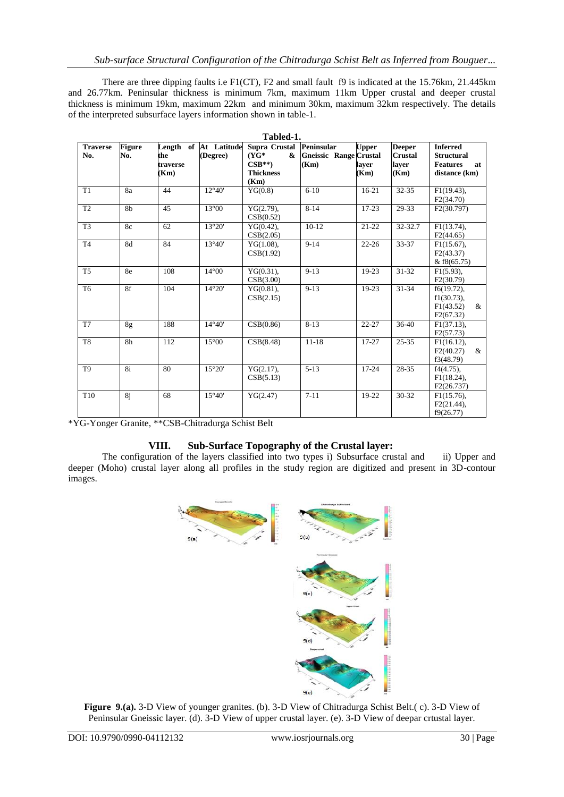There are three dipping faults i.e F1(CT), F2 and small fault f9 is indicated at the 15.76km, 21.445km and 26.77km. Peninsular thickness is minimum 7km, maximum 11km Upper crustal and deeper crustal thickness is minimum 19km, maximum 22km and minimum 30km, maximum 32km respectively. The details of the interpreted subsurface layers information shown in table-1.

| Tabled-1.              |                      |                         |                                   |                                                                      |                                                     |                               |                                                  |                                                                                |
|------------------------|----------------------|-------------------------|-----------------------------------|----------------------------------------------------------------------|-----------------------------------------------------|-------------------------------|--------------------------------------------------|--------------------------------------------------------------------------------|
| <b>Traverse</b><br>No. | <b>Figure</b><br>No. | the<br>traverse<br>(Km) | Length of At Latitude<br>(Degree) | Supra Crustal<br>$(YG^*$<br>&<br>$CSB**$<br><b>Thickness</b><br>(Km) | Peninsular<br><b>Gneissic Range Crustal</b><br>(Km) | <b>Upper</b><br>layer<br>(Km) | <b>Deeper</b><br><b>Crustal</b><br>layer<br>(Km) | <b>Inferred</b><br><b>Structural</b><br><b>Features</b><br>at<br>distance (km) |
| T1                     | 8a                   | 44                      | $12^{\circ}40'$                   | YG(0.8)                                                              | $6 - 10$                                            | $16 - 21$                     | $32 - 35$                                        | $F1(19.43)$ ,<br>F2(34.70)                                                     |
| T <sub>2</sub>         | 8b                   | 45                      | $13^{\circ}00$                    | $YG(2.79)$ ,<br>CSB(0.52)                                            | $8 - 14$                                            | $17-23$                       | 29-33                                            | F2(30.797)                                                                     |
| T <sub>3</sub>         | 8c                   | 62                      | 13°20'                            | $YG(0.42)$ ,<br>CSB(2.05)                                            | $10-12$                                             | $21 - 22$                     | 32-32.7                                          | F1(13.74),<br>F2(44.65)                                                        |
| T <sub>4</sub>         | 8d                   | 84                      | $13^{\circ}40'$                   | $YG(1.08)$ ,<br>CSB(1.92)                                            | $9 - 14$                                            | $22 - 26$                     | 33-37                                            | $F1(15.67)$ ,<br>F2(43.37)<br>& $f8(65.75)$                                    |
| T <sub>5</sub>         | 8e                   | 108                     | $14^{\circ}00$                    | $YG(0.31)$ ,<br>CSB(3.00)                                            | $9 - 13$                                            | $19-23$                       | 31-32                                            | $F1(5.93)$ ,<br>F2(30.79)                                                      |
| T <sub>6</sub>         | 8f                   | 104                     | $14^{\circ}20'$                   | YG(0.81),<br>CSB(2.15)                                               | $9 - 13$                                            | $19-23$                       | 31-34                                            | $f6(19.72)$ ,<br>$f1(30.73)$ ,<br>F1(43.52)<br>&<br>F2(67.32)                  |
| T <sub>7</sub>         | 8g                   | 188                     | $14^{\circ}40'$                   | CSB(0.86)                                                            | $8 - 13$                                            | 22-27                         | $36-40$                                          | $F1(37.13)$ ,<br>F2(57.73)                                                     |
| T <sub>8</sub>         | 8h                   | 112                     | $15^{\circ}00$                    | CSB(8.48)                                                            | $11 - 18$                                           | $17 - 27$                     | $25 - 35$                                        | $F1(16.12)$ ,<br>F2(40.27)<br>$\&$<br>f3(48.79)                                |
| T <sub>9</sub>         | 8i                   | 80                      | 15°20'                            | $YG(2.17)$ ,<br>CSB(5.13)                                            | $5 - 13$                                            | $17 - 24$                     | 28-35                                            | $f4(4.75)$ ,<br>$F1(18.24)$ ,<br>F2(26.737)                                    |
| T <sub>10</sub>        | 8j                   | 68                      | $15^{\circ}40'$                   | YG(2.47)                                                             | $7 - 11$                                            | 19-22                         | $30 - 32$                                        | $F1(15.76)$ ,<br>F2(21.44),<br>f9(26.77)                                       |

\*YG-Yonger Granite, \*\*CSB-Chitradurga Schist Belt

## **VIII. Sub-Surface Topography of the Crustal layer:**

The configuration of the layers classified into two types i) Subsurface crustal and ii) Upper and deeper (Moho) crustal layer along all profiles in the study region are digitized and present in 3D-contour images.



**Figure 9.(a).** 3-D View of younger granites. (b). 3-D View of Chitradurga Schist Belt.( c). 3-D View of Peninsular Gneissic layer. (d). 3-D View of upper crustal layer. (e). 3-D View of deepar crtustal layer.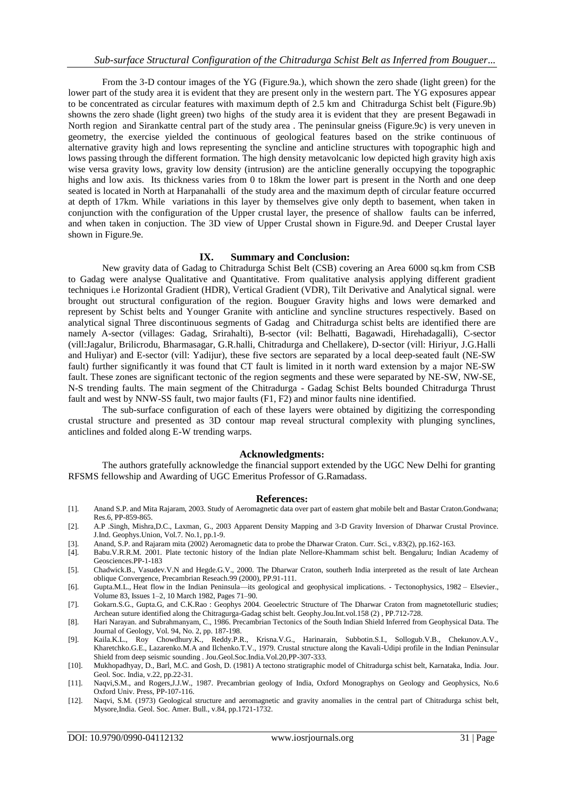From the 3-D contour images of the YG (Figure.9a.), which shown the zero shade (light green) for the lower part of the study area it is evident that they are present only in the western part. The YG exposures appear to be concentrated as circular features with maximum depth of 2.5 km and Chitradurga Schist belt (Figure.9b) showns the zero shade (light green) two highs of the study area it is evident that they are present Begawadi in North region and Sirankatte central part of the study area . The peninsular gneiss (Figure.9c) is very uneven in geometry, the exercise yielded the continuous of geological features based on the strike continuous of alternative gravity high and lows representing the syncline and anticline structures with topographic high and lows passing through the different formation. The high density metavolcanic low depicted high gravity high axis wise versa gravity lows, gravity low density (intrusion) are the anticline generally occupying the topographic highs and low axis. Its thickness varies from 0 to 18km the lower part is present in the North and one deep seated is located in North at Harpanahalli of the study area and the maximum depth of circular feature occurred at depth of 17km. While variations in this layer by themselves give only depth to basement, when taken in conjunction with the configuration of the Upper crustal layer, the presence of shallow faults can be inferred, and when taken in conjuction. The 3D view of Upper Crustal shown in Figure.9d. and Deeper Crustal layer shown in Figure.9e.

## **IX. Summary and Conclusion:**

 New gravity data of Gadag to Chitradurga Schist Belt (CSB) covering an Area 6000 sq.km from CSB to Gadag were analyse Qualitative and Quantitative. From qualitative analysis applying different gradient techniques i.e Horizontal Gradient (HDR), Vertical Gradient (VDR), Tilt Derivative and Analytical signal. were brought out structural configuration of the region. Bouguer Gravity highs and lows were demarked and represent by Schist belts and Younger Granite with anticline and syncline structures respectively. Based on analytical signal Three discontinuous segments of Gadag and Chitradurga schist belts are identified there are namely A-sector (villages: Gadag, Srirahalti), B-sector (vil: Belhatti, Bagawadi, Hirehadagalli), C-sector (vill:Jagalur, Brilicrodu, Bharmasagar, G.R.halli, Chitradurga and Chellakere), D-sector (vill: Hiriyur, J.G.Halli and Huliyar) and E-sector (vill: Yadijur), these five sectors are separated by a local deep-seated fault (NE-SW fault) further significantly it was found that CT fault is limited in it north ward extension by a major NE-SW fault. These zones are significant tectonic of the region segments and these were separated by NE-SW, NW-SE, N-S trending faults. The main segment of the Chitradurga - Gadag Schist Belts bounded Chitradurga Thrust fault and west by NNW-SS fault, two major faults (F1, F2) and minor faults nine identified.

The sub-surface configuration of each of these layers were obtained by digitizing the corresponding crustal structure and presented as 3D contour map reveal structural complexity with plunging synclines, anticlines and folded along E-W trending warps.

#### **Acknowledgments:**

 The authors gratefully acknowledge the financial support extended by the UGC New Delhi for granting RFSMS fellowship and Awarding of UGC Emeritus Professor of G.Ramadass.

#### **References:**

- [1]. Anand S.P. and Mita Rajaram, 2003. Study of Aeromagnetic data over part of eastern ghat mobile belt and Bastar Craton.Gondwana; Res.6, PP-859-865.
- [2]. A.P .Singh, Mishra,D.C., Laxman, G., 2003 Apparent Density Mapping and 3-D Gravity Inversion of Dharwar Crustal Province. J.Ind. Geophys.Union, Vol.7. No.1, pp.1-9.
- [3]. Anand, S.P. and Rajaram mita (2002) Aeromagnetic data to probe the Dharwar Craton. Curr. Sci., v.83(2), pp.162-163.
- [4]. Babu.V.R.R.M. 2001. Plate tectonic history of the Indian plate Nellore-Khammam schist belt. Bengaluru; Indian Academy of Geosciences.PP-1-183
- [5]. Chadwick.B., Vasudev.V.N and Hegde.G.V., 2000. The Dharwar Craton, southerh India interpreted as the result of late Archean oblique Convergence, Precambrian Reseach.99 (2000), PP.91-111.
- [6]. Gupta.M.L., Heat flow [in the Indian Peninsula—its geological and geophysical implications.](http://www.sciencedirect.com/science/article/pii/0040195182900087) Tectonophysics, 1982 Elsevier., [Volume](http://www.sciencedirect.com/science/journal/00401951/83/1) 83, Issues 1–2, 10 March 1982, Pages 71–90.
- [7]. Gokarn.S.G., Gupta.G, and C.K.Rao : Geophys 2004. Geoelectric Structure of The Dharwar Craton from magnetotelluric studies; Archean suture identified along the Chitragurga-Gadag schist belt. Geophy.Jou.Int.vol.158 (2) , PP.712-728.
- [8]. Hari Narayan. and Subrahmanyam, C., 1986. Precambrian Tectonics of the South Indian Shield Inferred from Geophysical Data. The Journal of Geology, Vol. 94, No. 2, pp. 187-198.
- [9]. Kaila.K.L., Roy Chowdhury.K., Reddy.P.R., Krisna.V.G., Harinarain, Subbotin.S.I., Sollogub.V.B., Chekunov.A.V., Kharetchko.G.E., Lazarenko.M.A and Ilchenko.T.V., 1979. Crustal structure along the Kavali-Udipi profile in the Indian Peninsular Shield from deep seismic sounding . Jou.Geol.Soc.India.Vol.20,PP-307-333.
- [10]. Mukhopadhyay, D., Barl, M.C. and Gosh, D. (1981) A tectono stratigraphic model of Chitradurga schist belt, Karnataka, India. Jour. Geol. Soc. India, v.22, pp.22-31.
- [11]. Naqvi,S.M., and Rogers,J.J.W., 1987. Precambrian geology of India, Oxford Monographys on Geology and Geophysics, No.6 Oxford Univ. Press, PP-107-116.
- [12]. Naqvi, S.M. (1973) Geological structure and aeromagnetic and gravity anomalies in the central part of Chitradurga schist belt, Mysore,India. Geol. Soc. Amer. Bull., v.84, pp.1721-1732.